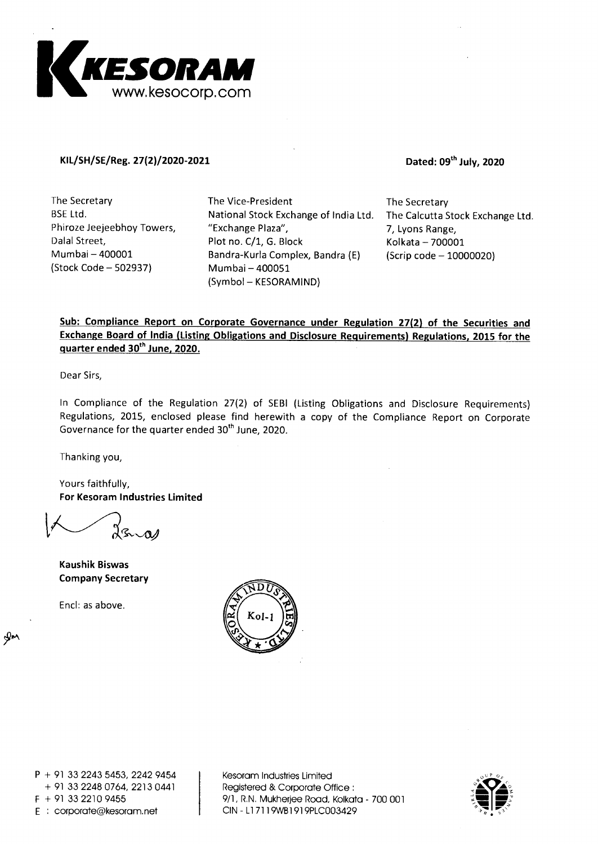

#### KIL/SH/SE/Reg. 27(2)/2020-2021 **Dated: 09th July, 2020**

**The Secretary BSE Ltd. Phiroze Jeejeebhoy Towers, Dalal Street, Mumbai — 400001 (Stock Code — 502937)** 

**The Vice-President National Stock Exchange of India Ltd. "Exchange Plaza", Plot no. C/1, G. Block Bandra-Kuria Complex, Bandra (E) Mumbai — 400051 (Symbol — KESORAMIND)** 

**The Secretary The Calcutta Stock Exchange Ltd. 7, Lyons Range, Kolkata — 700001 (Scrip code — 10000020)** 

### **Sub: Compliance Report on Corporate Governance under Regulation 27(2) of the Securities and Exchange Board of India (Listing Obligations and Disclosure Requirements) Regulations, 2015 for the quarter ended 30th June, 2020.**

**Dear Sirs,** 

**In Compliance of the Regulation 27(2) of SEBI (Listing Obligations and Disclosure Requirements) Regulations, 2015, enclosed please find herewith a copy of the Compliance Report on Corporate Governance for the quarter ended 30 th June, 2020.** 

**Thanking you,** 

**Yours faithfully, For Kesoram Industries Limited** 

**Kaushik Biswas Company Secretary** 

**Encl: as above.** 

 $\mathcal{S}$ 



**Kesoram Industries Limited Registered & Corporate Office : 9/1, R.N. Mukherjee Road, Kolkata - 700 001 CIN - L17119WB1919PLC003429** 

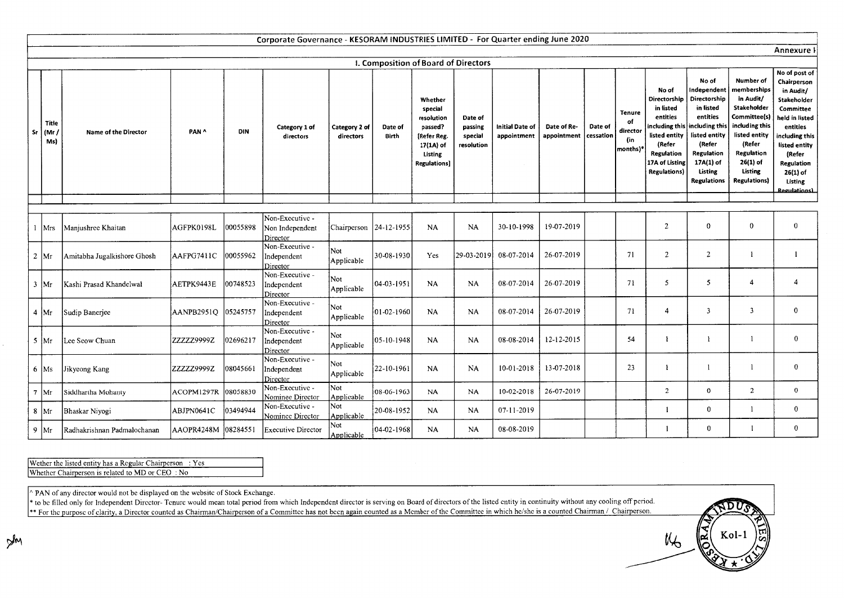|                              |                             |                     |            | Corporate Governance - KESORAM INDUSTRIES LIMITED - For Quarter ending June 2020 |                            |                         |                                                                                                                  |                                             |                                       |                            |                      |                                             |                                                                                                                                                   |                                                                                                                                                                               |                                                                                                                                                                                 |                                                                                                                                                                                                                       |
|------------------------------|-----------------------------|---------------------|------------|----------------------------------------------------------------------------------|----------------------------|-------------------------|------------------------------------------------------------------------------------------------------------------|---------------------------------------------|---------------------------------------|----------------------------|----------------------|---------------------------------------------|---------------------------------------------------------------------------------------------------------------------------------------------------|-------------------------------------------------------------------------------------------------------------------------------------------------------------------------------|---------------------------------------------------------------------------------------------------------------------------------------------------------------------------------|-----------------------------------------------------------------------------------------------------------------------------------------------------------------------------------------------------------------------|
|                              |                             |                     |            |                                                                                  |                            |                         |                                                                                                                  |                                             |                                       |                            |                      |                                             |                                                                                                                                                   |                                                                                                                                                                               |                                                                                                                                                                                 | Annexure I                                                                                                                                                                                                            |
|                              |                             |                     |            |                                                                                  |                            |                         | I. Composition of Board of Directors                                                                             |                                             |                                       |                            |                      |                                             |                                                                                                                                                   |                                                                                                                                                                               |                                                                                                                                                                                 |                                                                                                                                                                                                                       |
| Title<br>$Sr$   (Mr /<br>Ms) | <b>Name of the Director</b> | PAN <sup>^</sup>    | <b>DIN</b> | Category 1 of<br>directors                                                       | Category 2 of<br>directors | Date of<br><b>Birth</b> | Whether<br>special<br>resolution<br>passed?<br><b>[Refer Reg.</b><br>17(1A) of<br>Listing<br><b>Regulations]</b> | Date of<br>passing<br>special<br>resolution | <b>Initial Date of</b><br>appointment | Date of Re-<br>appointment | Date of<br>cessation | Tenure<br>of<br>director<br>(in<br>months)* | No of<br>Directorship<br>in listed<br>entities<br>ncluding thi:<br>listed entity<br>(Refer<br>Regulation<br>17A of Listing<br><b>Regulations)</b> | No of<br>Independent<br>Directorship<br>in listed<br>entities<br>including thi:<br>listed entity<br>(Refer<br><b>Regulation</b><br>17A(1) of<br>Listing<br><b>Regulations</b> | Number of<br>memberships<br>in Audit/<br>Stakeholder<br>Committee(s)<br>including this<br>listed entity<br>(Refer<br>Regulation<br>$26(1)$ of<br>Listing<br><b>Regulations)</b> | No of post of<br>Chairperson<br>in Audit/<br>Stakeholder<br>Committee<br>held in listed<br>entities<br>including this<br>listed entity<br>(Refer<br>Regulation<br>$26(1)$ of<br><b>Listing</b><br><b>RegulationsL</b> |
|                              |                             |                     |            |                                                                                  |                            |                         |                                                                                                                  |                                             |                                       |                            |                      |                                             |                                                                                                                                                   |                                                                                                                                                                               |                                                                                                                                                                                 |                                                                                                                                                                                                                       |
| 1 Mrs                        | Manjushree Khaitan          | AGFPK0198L          | 00055898   | Non-Executive -<br>Non Independent<br>Director                                   | Chairperson 24-12-1955     |                         | <b>NA</b>                                                                                                        | <b>NA</b>                                   | 30-10-1998                            | 19-07-2019                 |                      |                                             | 2                                                                                                                                                 | $\bf{0}$                                                                                                                                                                      | $\mathbf{0}$                                                                                                                                                                    | $\bf{0}$                                                                                                                                                                                                              |
| $2 \, \text{Mr}$             | Amitabha Jugalkishore Ghosh | AAFPG7411C          | 00055962   | Non-Executive -<br>Independent<br>Director                                       | Not<br>Applicable          | 30-08-1930              | Yes                                                                                                              | 29-03-2019                                  | 08-07-2014                            | 26-07-2019                 |                      | 71                                          | $\overline{2}$                                                                                                                                    | $\overline{2}$                                                                                                                                                                | -1                                                                                                                                                                              |                                                                                                                                                                                                                       |
| $3 \, \text{Mr}$             | Kashi Prasad Khandelwal     | AETPK9443E          | 00748523   | Non-Executive -<br>Independent<br>Director                                       | Not<br>Applicable          | 04-03-1951              | <b>NA</b>                                                                                                        | <b>NA</b>                                   | 08-07-2014                            | 26-07-2019                 |                      | 71                                          | 5 <sup>1</sup>                                                                                                                                    | 5                                                                                                                                                                             | 4                                                                                                                                                                               | $\boldsymbol{\Lambda}$                                                                                                                                                                                                |
| $4 \mathrm{Mr}$              | Sudip Baneriee              | AANPB2951Q          | 05245757   | Non-Executive -<br>Independent<br>Director                                       | Not<br>Applicable          | 01-02-1960              | <b>NA</b>                                                                                                        | <b>NA</b>                                   | 08-07-2014                            | 26-07-2019                 |                      | 71                                          | 4                                                                                                                                                 | $\overline{\mathbf{3}}$                                                                                                                                                       | $\mathbf{3}$                                                                                                                                                                    | $\mathbf{0}$                                                                                                                                                                                                          |
| $5 \mathrm{Mr}$              | Lee Seow Chuan              | ZZZZZ9999Z          | 02696217   | Non-Executive -<br>Independent<br>Director                                       | Not<br>Applicable          | 05-10-1948              | <b>NA</b>                                                                                                        | <b>NA</b>                                   | 08-08-2014                            | 12-12-2015                 |                      | 54                                          |                                                                                                                                                   |                                                                                                                                                                               |                                                                                                                                                                                 | $\mathbf{0}$                                                                                                                                                                                                          |
| $6$ Ms                       | Jikyeong Kang               | ZZZZZ9999Z          | 08045661   | Non-Executive -<br>Independent<br>Director                                       | Not<br>Applicable          | 22-10-1961              | <b>NA</b>                                                                                                        | <b>NA</b>                                   | 10-01-2018                            | 13-07-2018                 |                      | 23                                          |                                                                                                                                                   |                                                                                                                                                                               |                                                                                                                                                                                 | $\mathbf{0}$                                                                                                                                                                                                          |
| $7$ Mr                       | Siddhartha Mohanty          | ACOPM1297R          | 08058830   | Non-Executive -<br>Nominee Director                                              | <b>Not</b><br>Applicable   | 08-06-1963              | <b>NA</b>                                                                                                        | <b>NA</b>                                   | 10-02-2018                            | 26-07-2019                 |                      |                                             | $\overline{c}$                                                                                                                                    | $\mathbf{0}$                                                                                                                                                                  | $\overline{2}$                                                                                                                                                                  | $\mathbf{0}$                                                                                                                                                                                                          |
| $8 \,$ Mr                    | Bhaskar Nivogi              | ABJPN0641C          | 03494944   | Non-Executive -<br>Nominee Director                                              | Not<br>Applicable          | 20-08-1952              | <b>NA</b>                                                                                                        | <b>NA</b>                                   | 07-11-2019                            |                            |                      |                                             |                                                                                                                                                   | $\overline{0}$                                                                                                                                                                | -1                                                                                                                                                                              | $\bf{0}$                                                                                                                                                                                                              |
| $9 \text{Mr}$                | Radhakrishnan Padmalochanan | AAOPR4248M 08284551 |            | Executive Director                                                               | Not<br>Annlicable          | $ 04-02-1968 $          | <b>NA</b>                                                                                                        | <b>NA</b>                                   | 08-08-2019                            |                            |                      |                                             |                                                                                                                                                   | $\mathbf{0}$                                                                                                                                                                  |                                                                                                                                                                                 | $\theta$                                                                                                                                                                                                              |

3 D L

**ES** 

Wether the listed entity has a Regular Chairperson : Yes Whether Chairperson is related to MD or CEO: No

A PAN of any director would not be displayed on the website of Stock Exchange.

\* to be filled only for Independent Director- Tenure would mean total period from which Independent director is serving on Board of directors of the listed entity in continuity without any cooling off period. \*\* For the purpose of clarity, a Director counted as Chairman/Chairperson of a Committee has not been again counted as a Member of the Committee in which he/she is a counted Chairman / Chairperson.  $\frac{M_{\odot}}{M_{\odot}} = 1$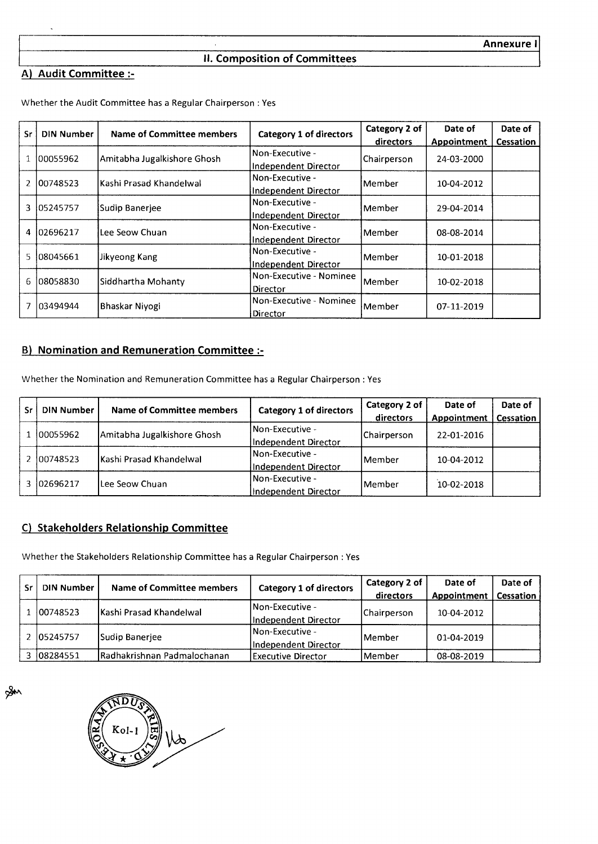## **II. Composition of Committees**

# **A) Audit Committee :-**

| Sr                       | <b>DIN Number</b> | Name of Committee members   | Category 1 of directors | Category 2 of                                                                    | Date of                                                                                        | Date of   |
|--------------------------|-------------------|-----------------------------|-------------------------|----------------------------------------------------------------------------------|------------------------------------------------------------------------------------------------|-----------|
|                          |                   |                             |                         | directors                                                                        | <b>Appointment</b>                                                                             | Cessation |
| $\mathbf{1}$             | 00055962          | Amitabha Jugalkishore Ghosh | Non-Executive -         |                                                                                  |                                                                                                |           |
|                          |                   |                             | Independent Director    |                                                                                  | 24-03-2000<br>10-04-2012<br>29-04-2014<br>08-08-2014<br>10-01-2018<br>10-02-2018<br>07-11-2019 |           |
| $\overline{\phantom{a}}$ | 00748523          | Kashi Prasad Khandelwal     | Non-Executive -         |                                                                                  |                                                                                                |           |
|                          |                   |                             | Independent Director    | Chairperson<br>lMember<br>Member<br><b>Member</b><br>Member<br> Member<br>Member |                                                                                                |           |
| 3                        | 105245757         | Sudip Baneriee              | Non-Executive -         |                                                                                  |                                                                                                |           |
|                          |                   |                             | Independent Director    |                                                                                  |                                                                                                |           |
| 4                        | 102696217         | Lee Seow Chuan              | Non-Executive -         |                                                                                  |                                                                                                |           |
|                          |                   |                             | Independent Director    |                                                                                  |                                                                                                |           |
| 5                        | 08045661          | Jikyeong Kang               | Non-Executive -         |                                                                                  |                                                                                                |           |
|                          |                   |                             | Independent Director    |                                                                                  |                                                                                                |           |
| 6                        | 108058830         | Siddhartha Mohanty          | Non-Executive - Nominee |                                                                                  |                                                                                                |           |
|                          |                   |                             | Director                |                                                                                  |                                                                                                |           |
|                          | 03494944          | Bhaskar Nivogi              | Non-Executive - Nominee |                                                                                  |                                                                                                |           |
|                          |                   |                             | Director                |                                                                                  |                                                                                                |           |

Whether the Audit Committee has a Regular Chairperson : Yes

### **B) Nomination and Remuneration Committee :-**

Whether the Nomination and Remuneration Committee has a Regular Chairperson : Yes

| <b>Sr</b> | <b>DIN Number</b> | <b>Name of Committee members</b> | <b>Category 1 of directors</b> | Category 2 of                                                                                                 | Date of     | Date of |
|-----------|-------------------|----------------------------------|--------------------------------|---------------------------------------------------------------------------------------------------------------|-------------|---------|
|           |                   |                                  |                                | directors<br><b>Chairperson</b><br>22-01-2016<br>10-04-2012<br><b>IMember</b><br>10-02-2018<br><b>IMember</b> | Cessation   |         |
|           | 100055962         | Amitabha Jugalkishore Ghosh      | <b>INon-Executive -</b>        |                                                                                                               |             |         |
|           |                   |                                  | Independent Director           |                                                                                                               | Appointment |         |
|           | 100748523         | Kashi Prasad Khandelwal          | Non-Executive -                |                                                                                                               |             |         |
|           |                   |                                  | Independent Director           |                                                                                                               |             |         |
|           | 02696217          | Lee Seow Chuan                   | Non-Executive -                |                                                                                                               |             |         |
|           |                   |                                  | Independent Director           |                                                                                                               |             |         |

### **C) Stakeholders Relationship Committee**

Whether the Stakeholders Relationship Committee has a Regular Chairperson : Yes

| .Sr | <b>DIN Number</b> | Name of Committee members   | <b>Category 1 of directors</b> | Category 2 of      | Date of                                               | Date of          |
|-----|-------------------|-----------------------------|--------------------------------|--------------------|-------------------------------------------------------|------------------|
|     |                   |                             |                                | directors          | Appointment<br>10-04-2012<br>01-04-2019<br>08-08-2019 | <b>Cessation</b> |
|     | 100748523         | lKashi Prasad Khandelwal    | Non-Executive -                | <b>Chairperson</b> |                                                       |                  |
|     |                   |                             | Independent Director           |                    |                                                       |                  |
|     | 105245757         | Sudip Banerjee              | - INon-Executive               | <b>IMember</b>     |                                                       |                  |
|     |                   |                             | Independent Director           |                    |                                                       |                  |
|     | 108284551         | Radhakrishnan Padmalochanan | Executive Director             | <b>IMember</b>     |                                                       |                  |

Dt Kol-1  $\mu$ 

Sen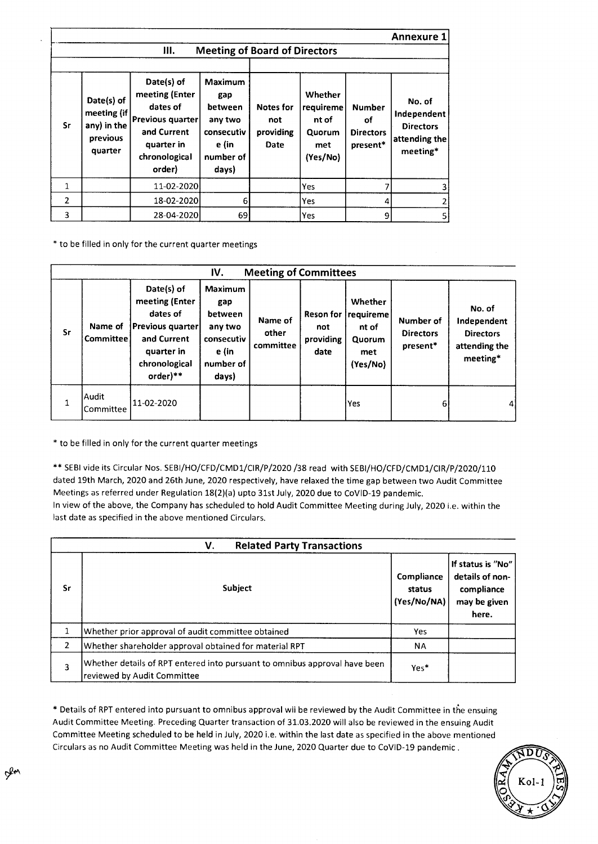|                |                                                                 |                                                                                                                      |                                                                                          |                                                     |                                                            |                                                     | <b>Annexure 1</b>                                                      |
|----------------|-----------------------------------------------------------------|----------------------------------------------------------------------------------------------------------------------|------------------------------------------------------------------------------------------|-----------------------------------------------------|------------------------------------------------------------|-----------------------------------------------------|------------------------------------------------------------------------|
|                |                                                                 | Ш.                                                                                                                   |                                                                                          | <b>Meeting of Board of Directors</b>                |                                                            |                                                     |                                                                        |
| <b>Sr</b>      | Date(s) of<br>meeting (if<br>any) in the<br>previous<br>quarter | Date(s) of<br>meeting (Enter<br>dates of<br>Previous quarter<br>and Current<br>quarter in<br>chronological<br>order) | <b>Maximum</b><br>gap<br>between<br>any two<br>consecutiv<br>e (in<br>number of<br>days) | <b>Notes for</b><br>not<br>providing<br><b>Date</b> | Whether<br>requireme<br>nt of<br>Quorum<br>met<br>(Yes/No) | <b>Number</b><br>оf<br><b>Directors</b><br>present* | No. of<br>Independent<br><b>Directors</b><br>attending the<br>meeting* |
| 1              |                                                                 | 11-02-2020                                                                                                           |                                                                                          |                                                     | Yes                                                        |                                                     |                                                                        |
| $\overline{2}$ |                                                                 | 18-02-2020                                                                                                           | 6                                                                                        |                                                     | Yes                                                        |                                                     |                                                                        |
| 3              |                                                                 | 28-04-2020                                                                                                           | 69                                                                                       |                                                     | Yes                                                        | 9                                                   | 5                                                                      |

\* to be filled in only for the current quarter meetings

|    |                             |                                                                                                                        | IV.                                                                                      | <b>Meeting of Committees</b>  |                          |                                                                          |                                           |                                                                        |
|----|-----------------------------|------------------------------------------------------------------------------------------------------------------------|------------------------------------------------------------------------------------------|-------------------------------|--------------------------|--------------------------------------------------------------------------|-------------------------------------------|------------------------------------------------------------------------|
| Sr | Name of<br><b>Committee</b> | Date(s) of<br>meeting (Enter<br>dates of<br>Previous quarter<br>and Current<br>quarter in<br>chronological<br>order)** | <b>Maximum</b><br>gap<br>between<br>any two<br>consecutiv<br>e (in<br>number of<br>days) | Name of<br>other<br>committee | not<br>providing<br>date | Whether<br>Reson for   requireme  <br>nt of<br>Quorum<br>met<br>(Yes/No) | Number of<br><b>Directors</b><br>present* | No. of<br>Independent<br><b>Directors</b><br>attending the<br>meeting* |
| 1  | Audit<br>Committee          | 11-02-2020                                                                                                             |                                                                                          |                               |                          | Yes                                                                      | 6                                         | 4                                                                      |

\* to be filled in only for the current quarter meetings

\*\* SEBI vide its Circular Nos. SEBI/HO/CFD/CMD1/CIR/P/2020 /38 read with SEBI/HO/CFD/CMD1/CIR/P/2020/110 dated 19th March, 2020 and 26th June, 2020 respectively, have relaxed the time gap between two Audit Committee Meetings as referred under Regulation 18(2)(a) upto 31st July, 2020 due to CoVID-19 pandemic. In view of the above, the Company has scheduled to hold Audit Committee Meeting during July, 2020 i.e. within the

last date as specified in the above mentioned Circulars.

|    | <b>Related Party Transactions</b><br>V.                                                                   |                                     |                                                                             |
|----|-----------------------------------------------------------------------------------------------------------|-------------------------------------|-----------------------------------------------------------------------------|
| Sr | Subject                                                                                                   | Compliance<br>status<br>(Yes/No/NA) | If status is "No"<br>details of non-<br>compliance<br>may be given<br>here. |
|    | Whether prior approval of audit committee obtained                                                        | Yes                                 |                                                                             |
| 2  | Whether shareholder approval obtained for material RPT                                                    | <b>NA</b>                           |                                                                             |
| 3  | Whether details of RPT entered into pursuant to omnibus approval have been<br>reviewed by Audit Committee | Yes*                                |                                                                             |

\* Details of RPT entered into pursuant to omnibus approval wii be reviewed by the Audit Committee in the ensuing Audit Committee Meeting. Preceding Quarter transaction of 31.03.2020 will also be reviewed in the ensuing Audit Committee Meeting scheduled to be held in July, 2020 i.e. within the last date as specified in the above mentioned Circulars as no Audit Committee Meeting was held in the June, 2020 Quarter due to CoVID-19 pandemic .



gen